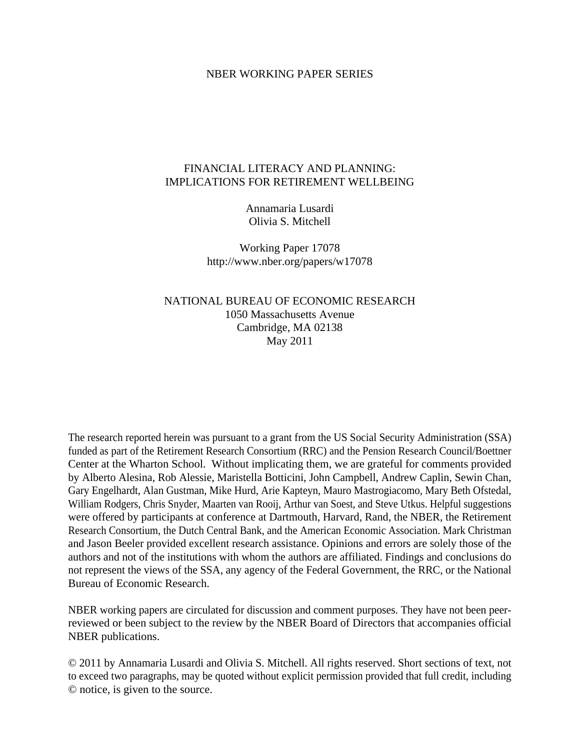#### NBER WORKING PAPER SERIES

## FINANCIAL LITERACY AND PLANNING: IMPLICATIONS FOR RETIREMENT WELLBEING

Annamaria Lusardi Olivia S. Mitchell

Working Paper 17078 http://www.nber.org/papers/w17078

NATIONAL BUREAU OF ECONOMIC RESEARCH 1050 Massachusetts Avenue Cambridge, MA 02138 May 2011

The research reported herein was pursuant to a grant from the US Social Security Administration (SSA) funded as part of the Retirement Research Consortium (RRC) and the Pension Research Council/Boettner Center at the Wharton School. Without implicating them, we are grateful for comments provided by Alberto Alesina, Rob Alessie, Maristella Botticini, John Campbell, Andrew Caplin, Sewin Chan, Gary Engelhardt, Alan Gustman, Mike Hurd, Arie Kapteyn, Mauro Mastrogiacomo, Mary Beth Ofstedal, William Rodgers, Chris Snyder, Maarten van Rooij, Arthur van Soest, and Steve Utkus. Helpful suggestions were offered by participants at conference at Dartmouth, Harvard, Rand, the NBER, the Retirement Research Consortium, the Dutch Central Bank, and the American Economic Association. Mark Christman and Jason Beeler provided excellent research assistance. Opinions and errors are solely those of the authors and not of the institutions with whom the authors are affiliated. Findings and conclusions do not represent the views of the SSA, any agency of the Federal Government, the RRC, or the National Bureau of Economic Research.

NBER working papers are circulated for discussion and comment purposes. They have not been peerreviewed or been subject to the review by the NBER Board of Directors that accompanies official NBER publications.

© 2011 by Annamaria Lusardi and Olivia S. Mitchell. All rights reserved. Short sections of text, not to exceed two paragraphs, may be quoted without explicit permission provided that full credit, including © notice, is given to the source.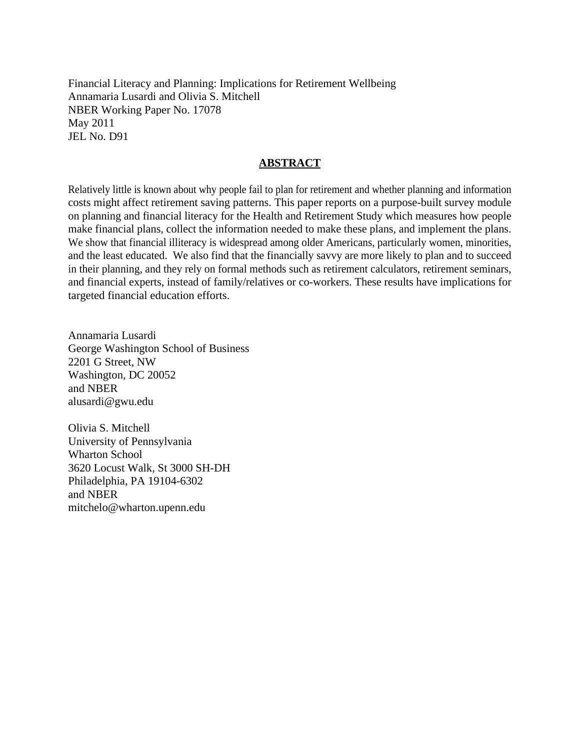Financial Literacy and Planning: Implications for Retirement Wellbeing Annamaria Lusardi and Olivia S. Mitchell NBER Working Paper No. 17078 May 2011 JEL No. D91

## **ABSTRACT**

Relatively little is known about why people fail to plan for retirement and whether planning and information costs might affect retirement saving patterns. This paper reports on a purpose-built survey module on planning and financial literacy for the Health and Retirement Study which measures how people make financial plans, collect the information needed to make these plans, and implement the plans. We show that financial illiteracy is widespread among older Americans, particularly women, minorities, and the least educated. We also find that the financially savvy are more likely to plan and to succeed in their planning, and they rely on formal methods such as retirement calculators, retirement seminars, and financial experts, instead of family/relatives or co-workers. These results have implications for targeted financial education efforts.

Annamaria Lusardi George Washington School of Business 2201 G Street, NW Washington, DC 20052 and NBER alusardi@gwu.edu

Olivia S. Mitchell University of Pennsylvania Wharton School 3620 Locust Walk, St 3000 SH-DH Philadelphia, PA 19104-6302 and NBER mitchelo@wharton.upenn.edu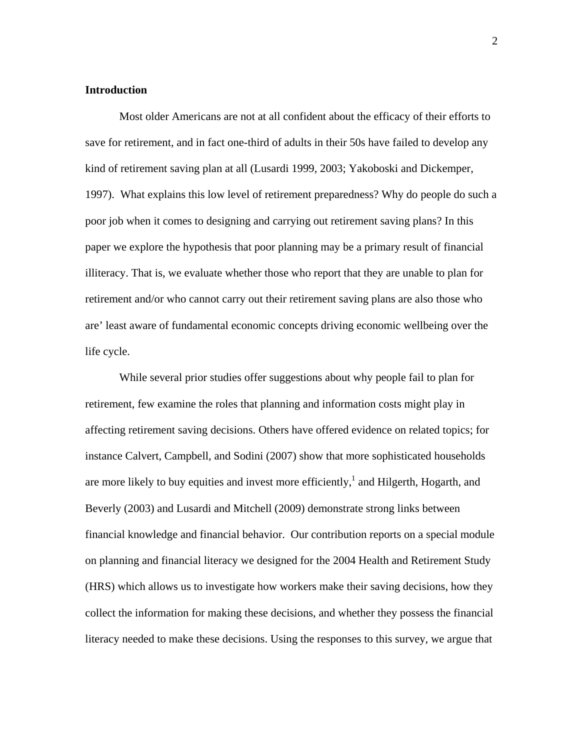#### **Introduction**

 Most older Americans are not at all confident about the efficacy of their efforts to save for retirement, and in fact one-third of adults in their 50s have failed to develop any kind of retirement saving plan at all (Lusardi 1999, 2003; Yakoboski and Dickemper, 1997). What explains this low level of retirement preparedness? Why do people do such a poor job when it comes to designing and carrying out retirement saving plans? In this paper we explore the hypothesis that poor planning may be a primary result of financial illiteracy. That is, we evaluate whether those who report that they are unable to plan for retirement and/or who cannot carry out their retirement saving plans are also those who are' least aware of fundamental economic concepts driving economic wellbeing over the life cycle.

While several prior studies offer suggestions about why people fail to plan for retirement, few examine the roles that planning and information costs might play in affecting retirement saving decisions. Others have offered evidence on related topics; for instance Calvert, Campbell, and Sodini (2007) show that more sophisticated households are more likely to buy equities and invest more efficiently,<sup>1</sup> and Hilgerth, Hogarth, and Beverly (2003) and Lusardi and Mitchell (2009) demonstrate strong links between financial knowledge and financial behavior. Our contribution reports on a special module on planning and financial literacy we designed for the 2004 Health and Retirement Study (HRS) which allows us to investigate how workers make their saving decisions, how they collect the information for making these decisions, and whether they possess the financial literacy needed to make these decisions. Using the responses to this survey, we argue that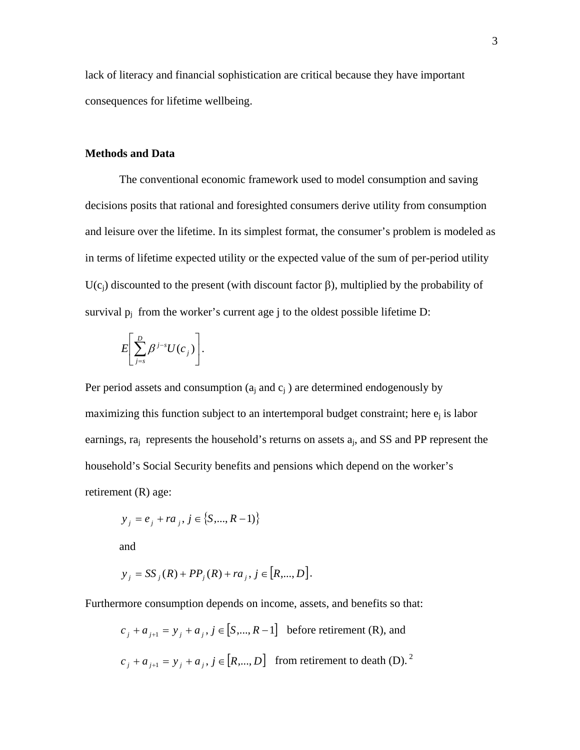lack of literacy and financial sophistication are critical because they have important consequences for lifetime wellbeing.

#### **Methods and Data**

The conventional economic framework used to model consumption and saving decisions posits that rational and foresighted consumers derive utility from consumption and leisure over the lifetime. In its simplest format, the consumer's problem is modeled as in terms of lifetime expected utility or the expected value of the sum of per-period utility  $U(c_i)$  discounted to the present (with discount factor  $\beta$ ), multiplied by the probability of survival  $p_i$  from the worker's current age j to the oldest possible lifetime D:

$$
E\left[\sum_{j=s}^D \beta^{j-s} U(c_j)\right].
$$

Per period assets and consumption  $(a_i \text{ and } c_j)$  are determined endogenously by maximizing this function subject to an intertemporal budget constraint; here  $e_i$  is labor earnings, raj represents the household's returns on assets aj, and SS and PP represent the household's Social Security benefits and pensions which depend on the worker's retirement (R) age:

$$
y_j = e_j + ra_j, j \in \{S, ..., R-1\}
$$

and

$$
y_j = SS_j(R) + PP_j(R) + ra_j, j \in [R,...,D].
$$

Furthermore consumption depends on income, assets, and benefits so that:

$$
c_j + a_{j+1} = y_j + a_j, j \in [S, ..., R-1]
$$
 before retirement (R), and  

$$
c_j + a_{j+1} = y_j + a_j, j \in [R, ..., D]
$$
 from retirement to death (D).<sup>2</sup>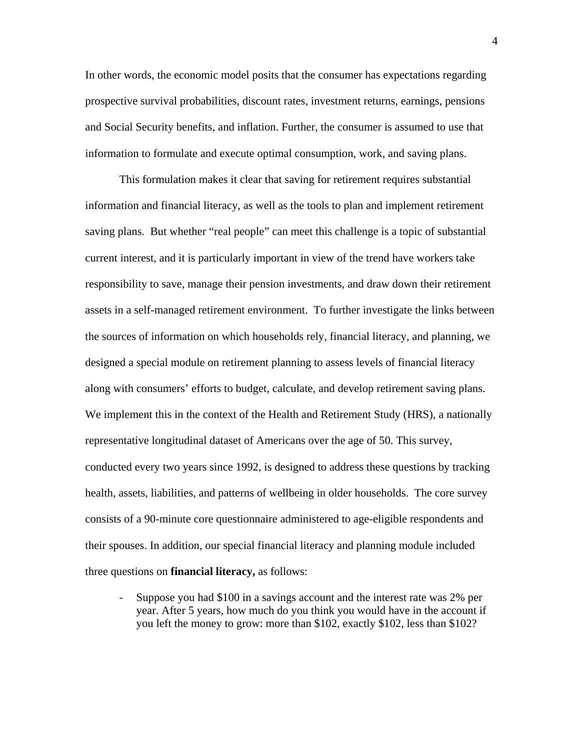In other words, the economic model posits that the consumer has expectations regarding prospective survival probabilities, discount rates, investment returns, earnings, pensions and Social Security benefits, and inflation. Further, the consumer is assumed to use that information to formulate and execute optimal consumption, work, and saving plans.

This formulation makes it clear that saving for retirement requires substantial information and financial literacy, as well as the tools to plan and implement retirement saving plans. But whether "real people" can meet this challenge is a topic of substantial current interest, and it is particularly important in view of the trend have workers take responsibility to save, manage their pension investments, and draw down their retirement assets in a self-managed retirement environment. To further investigate the links between the sources of information on which households rely, financial literacy, and planning, we designed a special module on retirement planning to assess levels of financial literacy along with consumers' efforts to budget, calculate, and develop retirement saving plans. We implement this in the context of the Health and Retirement Study (HRS), a nationally representative longitudinal dataset of Americans over the age of 50. This survey, conducted every two years since 1992, is designed to address these questions by tracking health, assets, liabilities, and patterns of wellbeing in older households. The core survey consists of a 90-minute core questionnaire administered to age-eligible respondents and their spouses. In addition, our special financial literacy and planning module included three questions on **financial literacy,** as follows:

Suppose you had \$100 in a savings account and the interest rate was 2% per year. After 5 years, how much do you think you would have in the account if you left the money to grow: more than \$102, exactly \$102, less than \$102?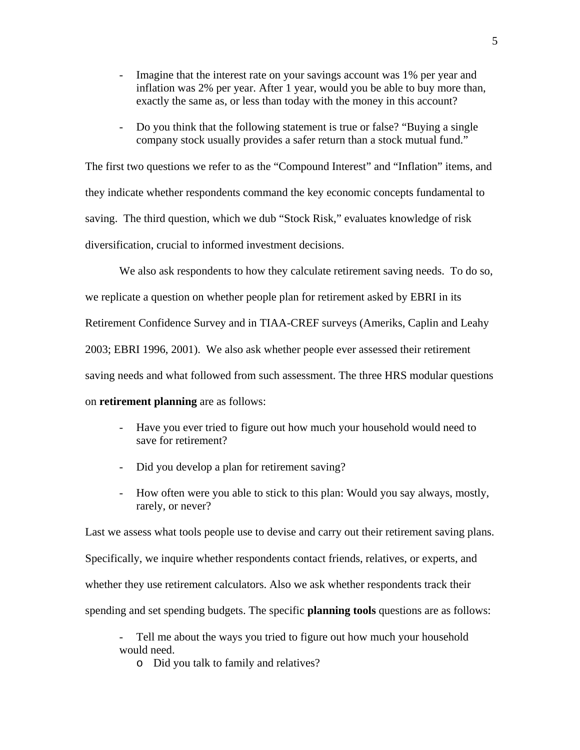- Imagine that the interest rate on your savings account was 1% per year and inflation was 2% per year. After 1 year, would you be able to buy more than, exactly the same as, or less than today with the money in this account?
- Do you think that the following statement is true or false? "Buying a single company stock usually provides a safer return than a stock mutual fund."

The first two questions we refer to as the "Compound Interest" and "Inflation" items, and they indicate whether respondents command the key economic concepts fundamental to saving. The third question, which we dub "Stock Risk," evaluates knowledge of risk diversification, crucial to informed investment decisions.

 We also ask respondents to how they calculate retirement saving needs. To do so, we replicate a question on whether people plan for retirement asked by EBRI in its Retirement Confidence Survey and in TIAA-CREF surveys (Ameriks, Caplin and Leahy 2003; EBRI 1996, 2001). We also ask whether people ever assessed their retirement saving needs and what followed from such assessment. The three HRS modular questions on **retirement planning** are as follows:

- Have you ever tried to figure out how much your household would need to save for retirement?
- Did you develop a plan for retirement saving?
- How often were you able to stick to this plan: Would you say always, mostly, rarely, or never?

Last we assess what tools people use to devise and carry out their retirement saving plans. Specifically, we inquire whether respondents contact friends, relatives, or experts, and whether they use retirement calculators. Also we ask whether respondents track their spending and set spending budgets. The specific **planning tools** questions are as follows:

Tell me about the ways you tried to figure out how much your household would need.

o Did you talk to family and relatives?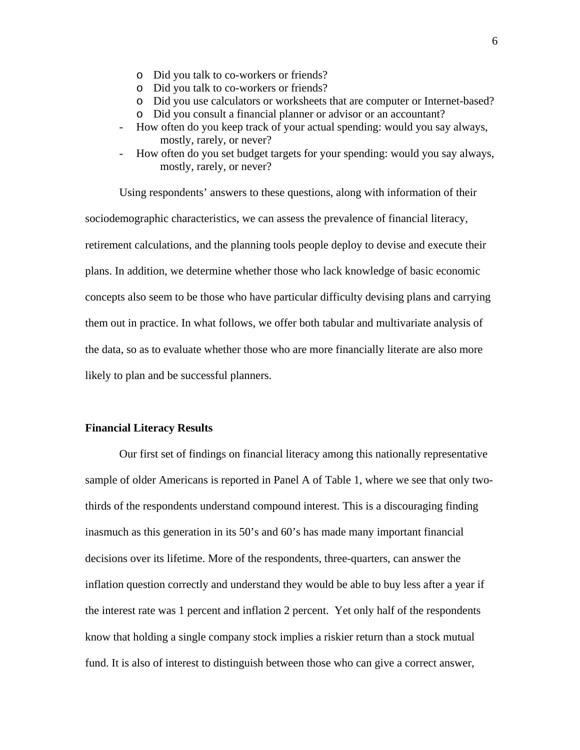- o Did you talk to co-workers or friends?
- o Did you talk to co-workers or friends?
- o Did you use calculators or worksheets that are computer or Internet-based?
- o Did you consult a financial planner or advisor or an accountant?
- How often do you keep track of your actual spending: would you say always, mostly, rarely, or never?
- How often do you set budget targets for your spending: would you say always, mostly, rarely, or never?

 Using respondents' answers to these questions, along with information of their sociodemographic characteristics, we can assess the prevalence of financial literacy, retirement calculations, and the planning tools people deploy to devise and execute their plans. In addition, we determine whether those who lack knowledge of basic economic concepts also seem to be those who have particular difficulty devising plans and carrying them out in practice. In what follows, we offer both tabular and multivariate analysis of the data, so as to evaluate whether those who are more financially literate are also more likely to plan and be successful planners.

#### **Financial Literacy Results**

Our first set of findings on financial literacy among this nationally representative sample of older Americans is reported in Panel A of Table 1, where we see that only twothirds of the respondents understand compound interest. This is a discouraging finding inasmuch as this generation in its 50's and 60's has made many important financial decisions over its lifetime. More of the respondents, three-quarters, can answer the inflation question correctly and understand they would be able to buy less after a year if the interest rate was 1 percent and inflation 2 percent. Yet only half of the respondents know that holding a single company stock implies a riskier return than a stock mutual fund. It is also of interest to distinguish between those who can give a correct answer,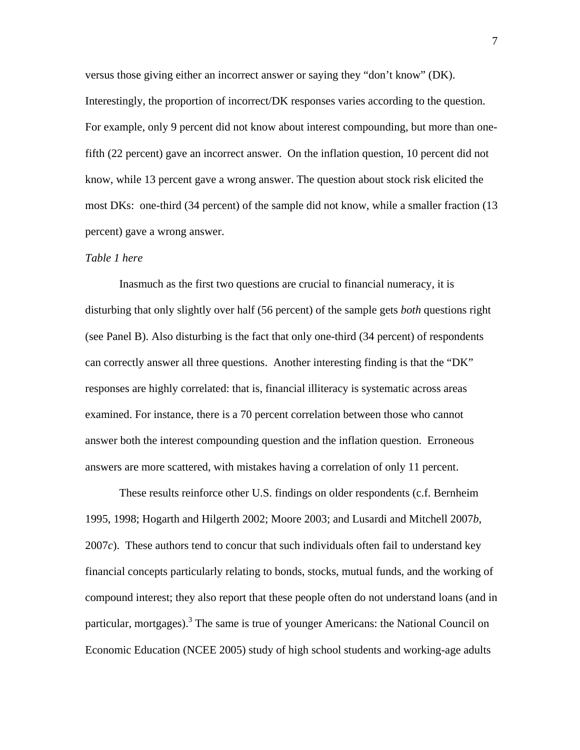versus those giving either an incorrect answer or saying they "don't know" (DK). Interestingly, the proportion of incorrect/DK responses varies according to the question. For example, only 9 percent did not know about interest compounding, but more than onefifth (22 percent) gave an incorrect answer. On the inflation question, 10 percent did not know, while 13 percent gave a wrong answer. The question about stock risk elicited the most DKs: one-third (34 percent) of the sample did not know, while a smaller fraction (13 percent) gave a wrong answer.

#### *Table 1 here*

 Inasmuch as the first two questions are crucial to financial numeracy, it is disturbing that only slightly over half (56 percent) of the sample gets *both* questions right (see Panel B). Also disturbing is the fact that only one-third (34 percent) of respondents can correctly answer all three questions. Another interesting finding is that the "DK" responses are highly correlated: that is, financial illiteracy is systematic across areas examined. For instance, there is a 70 percent correlation between those who cannot answer both the interest compounding question and the inflation question. Erroneous answers are more scattered, with mistakes having a correlation of only 11 percent.

These results reinforce other U.S. findings on older respondents (c.f. Bernheim 1995, 1998; Hogarth and Hilgerth 2002; Moore 2003; and Lusardi and Mitchell 2007*b*, 2007*c*). These authors tend to concur that such individuals often fail to understand key financial concepts particularly relating to bonds, stocks, mutual funds, and the working of compound interest; they also report that these people often do not understand loans (and in particular, mortgages).<sup>3</sup> The same is true of younger Americans: the National Council on Economic Education (NCEE 2005) study of high school students and working-age adults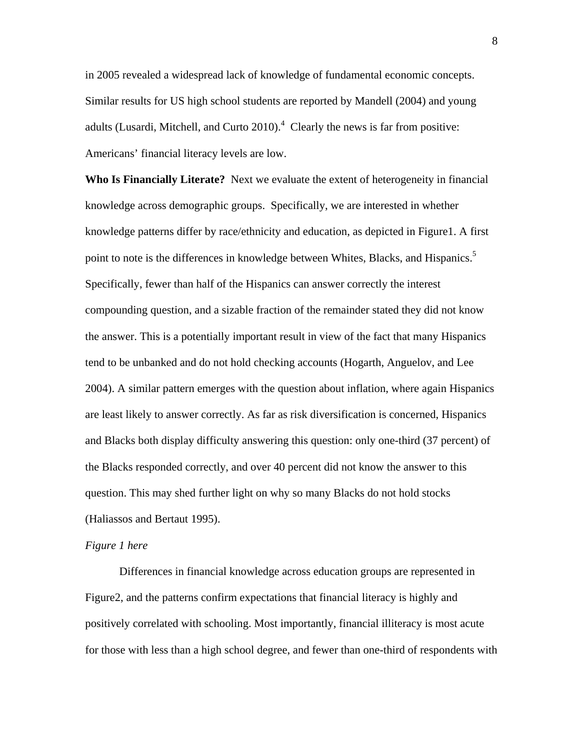in 2005 revealed a widespread lack of knowledge of fundamental economic concepts. Similar results for US high school students are reported by Mandell (2004) and young adults (Lusardi, Mitchell, and Curto  $2010$ ).<sup>4</sup> Clearly the news is far from positive: Americans' financial literacy levels are low.

**Who Is Financially Literate?** Next we evaluate the extent of heterogeneity in financial knowledge across demographic groups. Specifically, we are interested in whether knowledge patterns differ by race/ethnicity and education, as depicted in Figure1. A first point to note is the differences in knowledge between Whites, Blacks, and Hispanics.<sup>5</sup> Specifically, fewer than half of the Hispanics can answer correctly the interest compounding question, and a sizable fraction of the remainder stated they did not know the answer. This is a potentially important result in view of the fact that many Hispanics tend to be unbanked and do not hold checking accounts (Hogarth, Anguelov, and Lee 2004). A similar pattern emerges with the question about inflation, where again Hispanics are least likely to answer correctly. As far as risk diversification is concerned, Hispanics and Blacks both display difficulty answering this question: only one-third (37 percent) of the Blacks responded correctly, and over 40 percent did not know the answer to this question. This may shed further light on why so many Blacks do not hold stocks (Haliassos and Bertaut 1995).

#### *Figure 1 here*

 Differences in financial knowledge across education groups are represented in Figure2, and the patterns confirm expectations that financial literacy is highly and positively correlated with schooling. Most importantly, financial illiteracy is most acute for those with less than a high school degree, and fewer than one-third of respondents with

8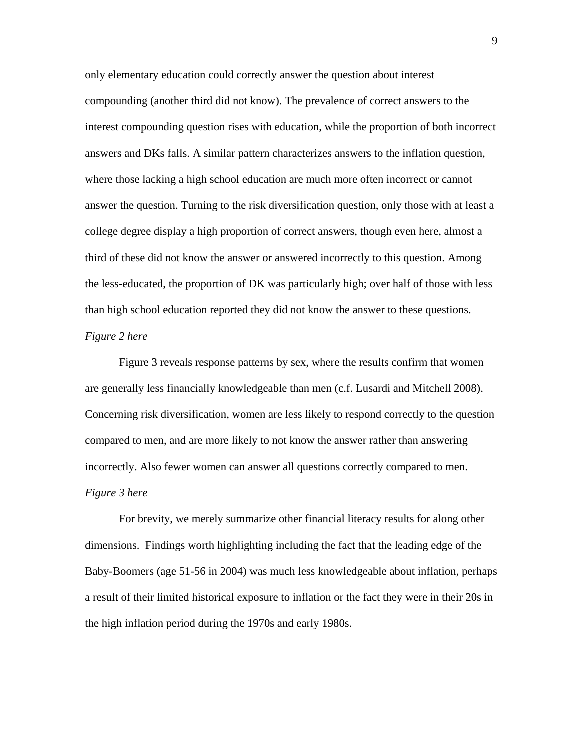only elementary education could correctly answer the question about interest compounding (another third did not know). The prevalence of correct answers to the interest compounding question rises with education, while the proportion of both incorrect answers and DKs falls. A similar pattern characterizes answers to the inflation question, where those lacking a high school education are much more often incorrect or cannot answer the question. Turning to the risk diversification question, only those with at least a college degree display a high proportion of correct answers, though even here, almost a third of these did not know the answer or answered incorrectly to this question. Among the less-educated, the proportion of DK was particularly high; over half of those with less than high school education reported they did not know the answer to these questions. *Figure 2 here* 

 Figure 3 reveals response patterns by sex, where the results confirm that women are generally less financially knowledgeable than men (c.f. Lusardi and Mitchell 2008). Concerning risk diversification, women are less likely to respond correctly to the question compared to men, and are more likely to not know the answer rather than answering incorrectly. Also fewer women can answer all questions correctly compared to men. *Figure 3 here* 

 For brevity, we merely summarize other financial literacy results for along other dimensions. Findings worth highlighting including the fact that the leading edge of the Baby-Boomers (age 51-56 in 2004) was much less knowledgeable about inflation, perhaps a result of their limited historical exposure to inflation or the fact they were in their 20s in the high inflation period during the 1970s and early 1980s.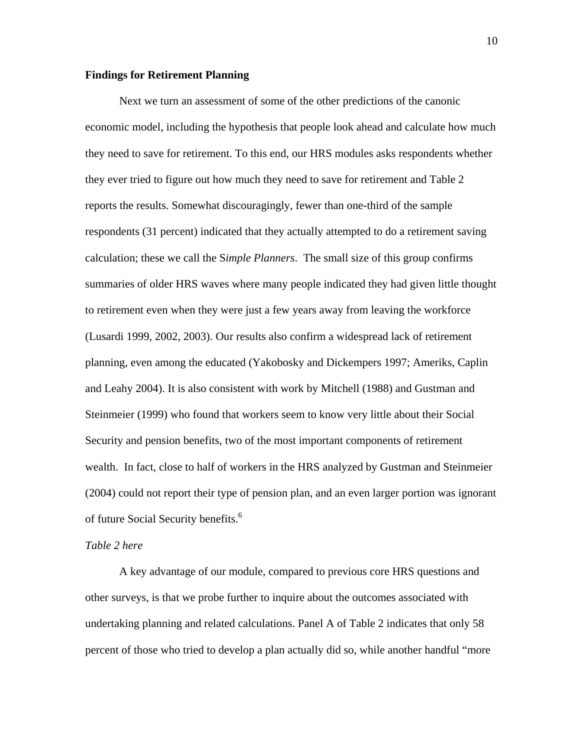#### **Findings for Retirement Planning**

Next we turn an assessment of some of the other predictions of the canonic economic model, including the hypothesis that people look ahead and calculate how much they need to save for retirement. To this end, our HRS modules asks respondents whether they ever tried to figure out how much they need to save for retirement and Table 2 reports the results. Somewhat discouragingly, fewer than one-third of the sample respondents (31 percent) indicated that they actually attempted to do a retirement saving calculation; these we call the S*imple Planners*. The small size of this group confirms summaries of older HRS waves where many people indicated they had given little thought to retirement even when they were just a few years away from leaving the workforce (Lusardi 1999, 2002, 2003). Our results also confirm a widespread lack of retirement planning, even among the educated (Yakobosky and Dickempers 1997; Ameriks, Caplin and Leahy 2004). It is also consistent with work by Mitchell (1988) and Gustman and Steinmeier (1999) who found that workers seem to know very little about their Social Security and pension benefits, two of the most important components of retirement wealth. In fact, close to half of workers in the HRS analyzed by Gustman and Steinmeier (2004) could not report their type of pension plan, and an even larger portion was ignorant of future Social Security benefits.<sup>6</sup>

#### *Table 2 here*

 A key advantage of our module, compared to previous core HRS questions and other surveys, is that we probe further to inquire about the outcomes associated with undertaking planning and related calculations. Panel A of Table 2 indicates that only 58 percent of those who tried to develop a plan actually did so, while another handful "more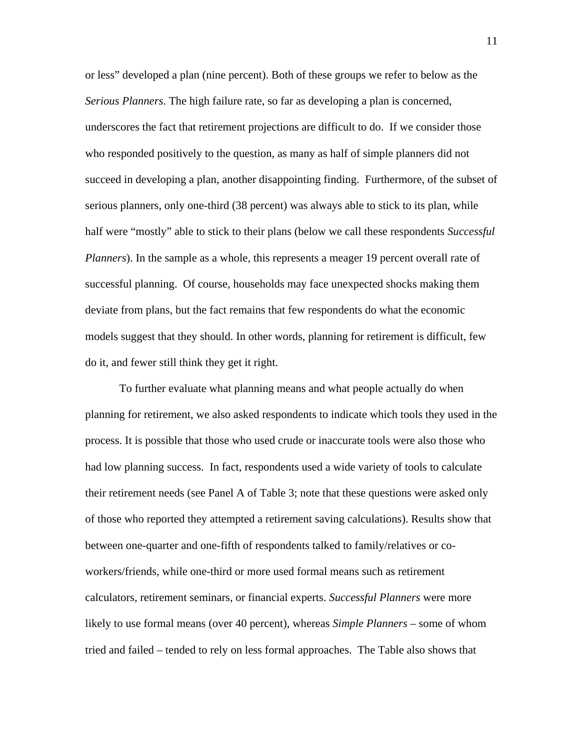or less" developed a plan (nine percent). Both of these groups we refer to below as the *Serious Planners*. The high failure rate, so far as developing a plan is concerned, underscores the fact that retirement projections are difficult to do. If we consider those who responded positively to the question, as many as half of simple planners did not succeed in developing a plan, another disappointing finding. Furthermore, of the subset of serious planners, only one-third (38 percent) was always able to stick to its plan, while half were "mostly" able to stick to their plans (below we call these respondents *Successful Planners*). In the sample as a whole, this represents a meager 19 percent overall rate of successful planning. Of course, households may face unexpected shocks making them deviate from plans, but the fact remains that few respondents do what the economic models suggest that they should. In other words, planning for retirement is difficult, few do it, and fewer still think they get it right.

To further evaluate what planning means and what people actually do when planning for retirement, we also asked respondents to indicate which tools they used in the process. It is possible that those who used crude or inaccurate tools were also those who had low planning success. In fact, respondents used a wide variety of tools to calculate their retirement needs (see Panel A of Table 3; note that these questions were asked only of those who reported they attempted a retirement saving calculations). Results show that between one-quarter and one-fifth of respondents talked to family/relatives or coworkers/friends, while one-third or more used formal means such as retirement calculators, retirement seminars, or financial experts. *Successful Planners* were more likely to use formal means (over 40 percent), whereas *Simple Planners* – some of whom tried and failed – tended to rely on less formal approaches. The Table also shows that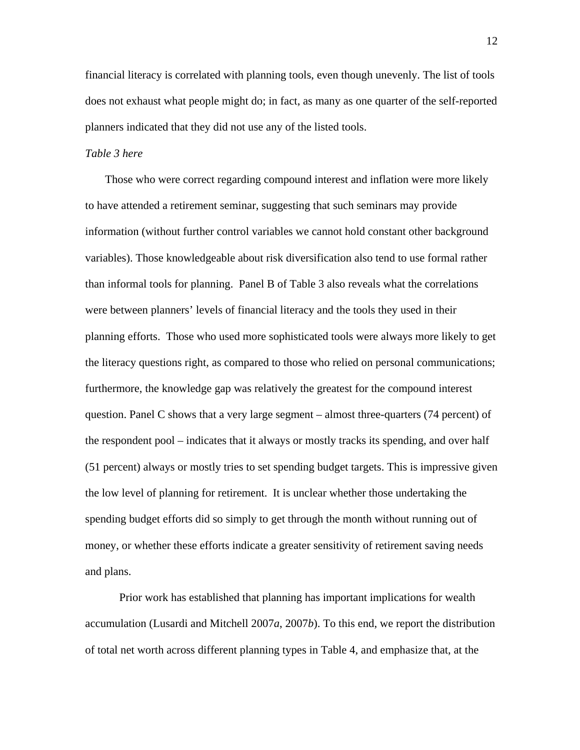financial literacy is correlated with planning tools, even though unevenly. The list of tools does not exhaust what people might do; in fact, as many as one quarter of the self-reported planners indicated that they did not use any of the listed tools.

#### *Table 3 here*

 Those who were correct regarding compound interest and inflation were more likely to have attended a retirement seminar, suggesting that such seminars may provide information (without further control variables we cannot hold constant other background variables). Those knowledgeable about risk diversification also tend to use formal rather than informal tools for planning. Panel B of Table 3 also reveals what the correlations were between planners' levels of financial literacy and the tools they used in their planning efforts. Those who used more sophisticated tools were always more likely to get the literacy questions right, as compared to those who relied on personal communications; furthermore, the knowledge gap was relatively the greatest for the compound interest question. Panel C shows that a very large segment – almost three-quarters (74 percent) of the respondent pool – indicates that it always or mostly tracks its spending, and over half (51 percent) always or mostly tries to set spending budget targets. This is impressive given the low level of planning for retirement. It is unclear whether those undertaking the spending budget efforts did so simply to get through the month without running out of money, or whether these efforts indicate a greater sensitivity of retirement saving needs and plans.

 Prior work has established that planning has important implications for wealth accumulation (Lusardi and Mitchell 2007*a*, 2007*b*). To this end, we report the distribution of total net worth across different planning types in Table 4, and emphasize that, at the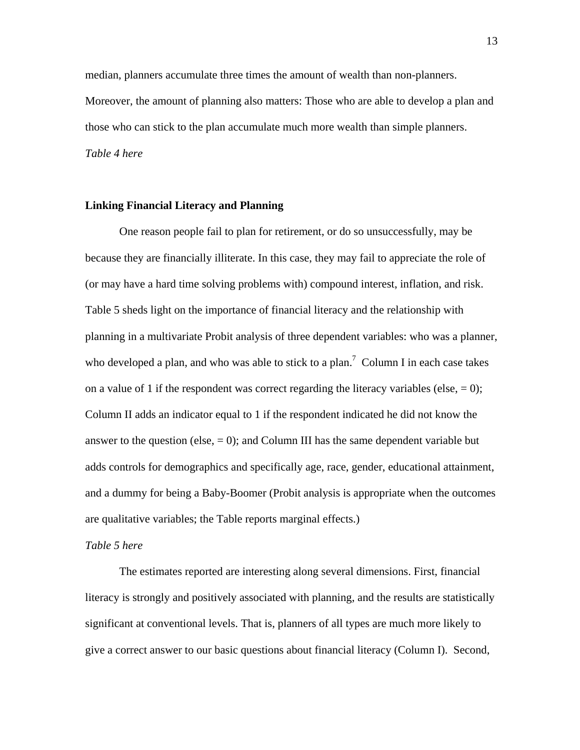median, planners accumulate three times the amount of wealth than non-planners. Moreover, the amount of planning also matters: Those who are able to develop a plan and those who can stick to the plan accumulate much more wealth than simple planners. *Table 4 here* 

#### **Linking Financial Literacy and Planning**

One reason people fail to plan for retirement, or do so unsuccessfully, may be because they are financially illiterate. In this case, they may fail to appreciate the role of (or may have a hard time solving problems with) compound interest, inflation, and risk. Table 5 sheds light on the importance of financial literacy and the relationship with planning in a multivariate Probit analysis of three dependent variables: who was a planner, who developed a plan, and who was able to stick to a plan.<sup>7</sup> Column I in each case takes on a value of 1 if the respondent was correct regarding the literacy variables (else,  $= 0$ ); Column II adds an indicator equal to 1 if the respondent indicated he did not know the answer to the question (else,  $= 0$ ); and Column III has the same dependent variable but adds controls for demographics and specifically age, race, gender, educational attainment, and a dummy for being a Baby-Boomer (Probit analysis is appropriate when the outcomes are qualitative variables; the Table reports marginal effects.)

#### *Table 5 here*

 The estimates reported are interesting along several dimensions. First, financial literacy is strongly and positively associated with planning, and the results are statistically significant at conventional levels. That is, planners of all types are much more likely to give a correct answer to our basic questions about financial literacy (Column I). Second,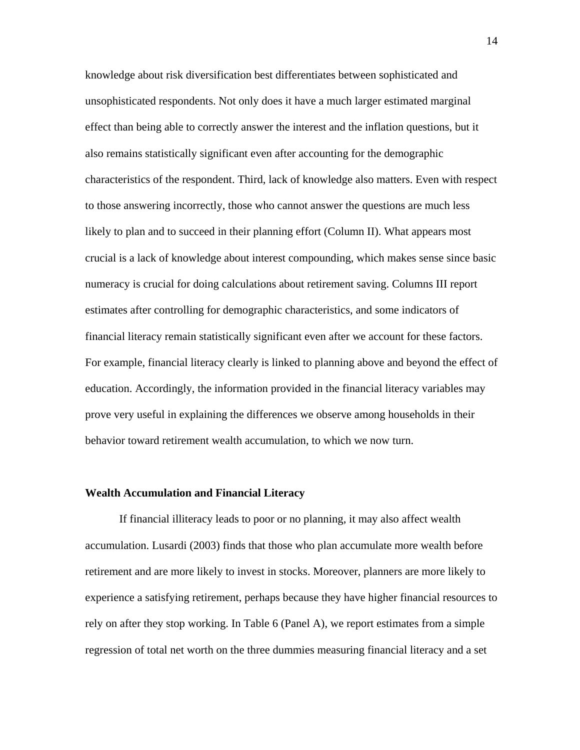knowledge about risk diversification best differentiates between sophisticated and unsophisticated respondents. Not only does it have a much larger estimated marginal effect than being able to correctly answer the interest and the inflation questions, but it also remains statistically significant even after accounting for the demographic characteristics of the respondent. Third, lack of knowledge also matters. Even with respect to those answering incorrectly, those who cannot answer the questions are much less likely to plan and to succeed in their planning effort (Column II). What appears most crucial is a lack of knowledge about interest compounding, which makes sense since basic numeracy is crucial for doing calculations about retirement saving. Columns III report estimates after controlling for demographic characteristics, and some indicators of financial literacy remain statistically significant even after we account for these factors. For example, financial literacy clearly is linked to planning above and beyond the effect of education. Accordingly, the information provided in the financial literacy variables may prove very useful in explaining the differences we observe among households in their behavior toward retirement wealth accumulation, to which we now turn.

#### **Wealth Accumulation and Financial Literacy**

 If financial illiteracy leads to poor or no planning, it may also affect wealth accumulation. Lusardi (2003) finds that those who plan accumulate more wealth before retirement and are more likely to invest in stocks. Moreover, planners are more likely to experience a satisfying retirement, perhaps because they have higher financial resources to rely on after they stop working. In Table 6 (Panel A), we report estimates from a simple regression of total net worth on the three dummies measuring financial literacy and a set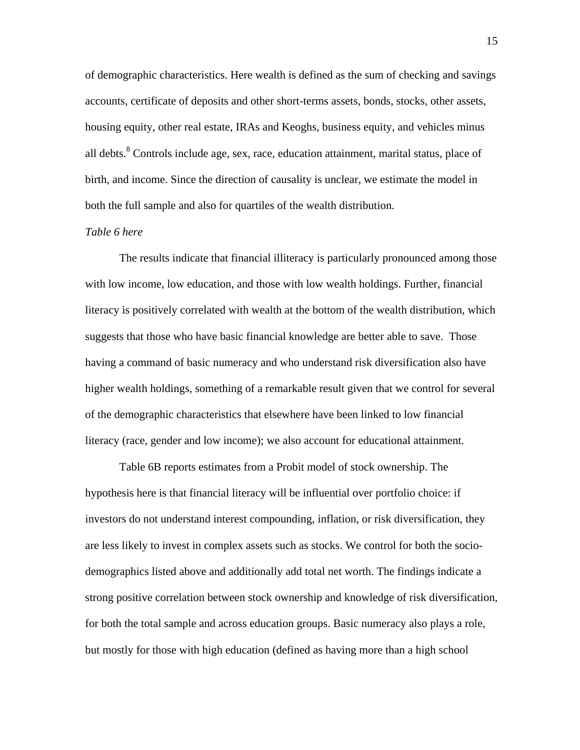of demographic characteristics. Here wealth is defined as the sum of checking and savings accounts, certificate of deposits and other short-terms assets, bonds, stocks, other assets, housing equity, other real estate, IRAs and Keoghs, business equity, and vehicles minus all debts.<sup>8</sup> Controls include age, sex, race, education attainment, marital status, place of birth, and income. Since the direction of causality is unclear, we estimate the model in both the full sample and also for quartiles of the wealth distribution.

### *Table 6 here*

 The results indicate that financial illiteracy is particularly pronounced among those with low income, low education, and those with low wealth holdings. Further, financial literacy is positively correlated with wealth at the bottom of the wealth distribution, which suggests that those who have basic financial knowledge are better able to save. Those having a command of basic numeracy and who understand risk diversification also have higher wealth holdings, something of a remarkable result given that we control for several of the demographic characteristics that elsewhere have been linked to low financial literacy (race, gender and low income); we also account for educational attainment.

 Table 6B reports estimates from a Probit model of stock ownership. The hypothesis here is that financial literacy will be influential over portfolio choice: if investors do not understand interest compounding, inflation, or risk diversification, they are less likely to invest in complex assets such as stocks. We control for both the sociodemographics listed above and additionally add total net worth. The findings indicate a strong positive correlation between stock ownership and knowledge of risk diversification, for both the total sample and across education groups. Basic numeracy also plays a role, but mostly for those with high education (defined as having more than a high school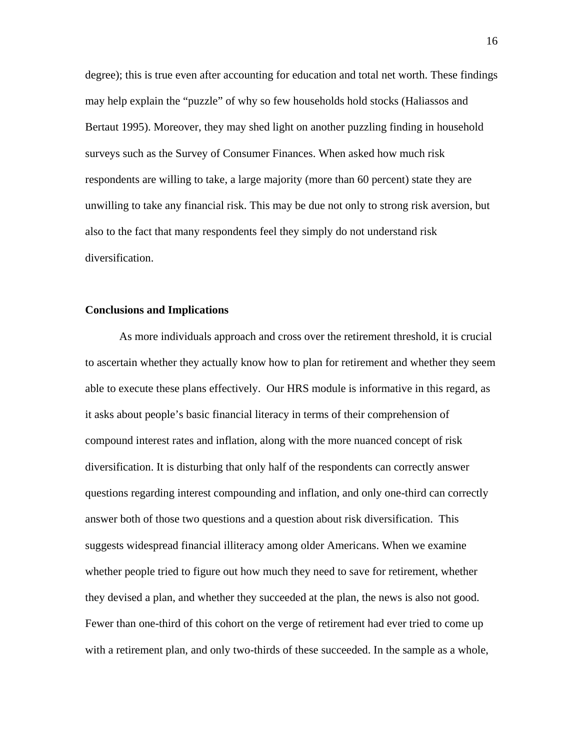degree); this is true even after accounting for education and total net worth. These findings may help explain the "puzzle" of why so few households hold stocks (Haliassos and Bertaut 1995). Moreover, they may shed light on another puzzling finding in household surveys such as the Survey of Consumer Finances. When asked how much risk respondents are willing to take, a large majority (more than 60 percent) state they are unwilling to take any financial risk. This may be due not only to strong risk aversion, but also to the fact that many respondents feel they simply do not understand risk diversification.

#### **Conclusions and Implications**

As more individuals approach and cross over the retirement threshold, it is crucial to ascertain whether they actually know how to plan for retirement and whether they seem able to execute these plans effectively. Our HRS module is informative in this regard, as it asks about people's basic financial literacy in terms of their comprehension of compound interest rates and inflation, along with the more nuanced concept of risk diversification. It is disturbing that only half of the respondents can correctly answer questions regarding interest compounding and inflation, and only one-third can correctly answer both of those two questions and a question about risk diversification. This suggests widespread financial illiteracy among older Americans. When we examine whether people tried to figure out how much they need to save for retirement, whether they devised a plan, and whether they succeeded at the plan, the news is also not good. Fewer than one-third of this cohort on the verge of retirement had ever tried to come up with a retirement plan, and only two-thirds of these succeeded. In the sample as a whole,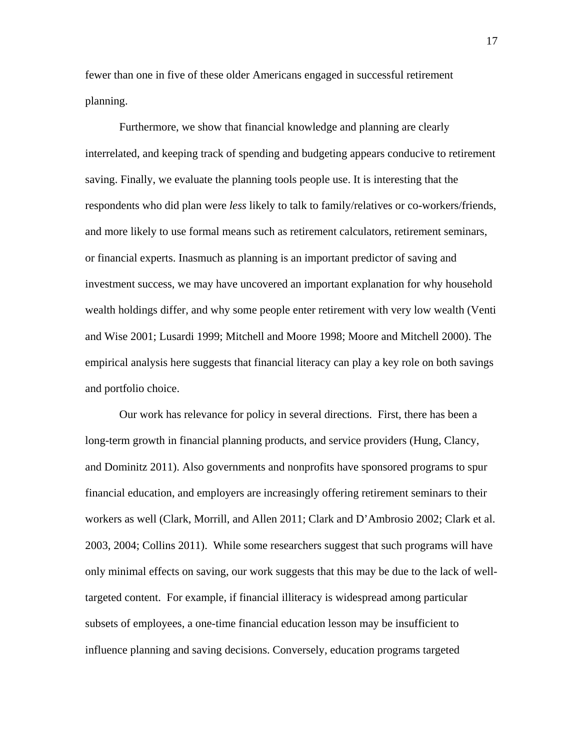fewer than one in five of these older Americans engaged in successful retirement planning.

Furthermore, we show that financial knowledge and planning are clearly interrelated, and keeping track of spending and budgeting appears conducive to retirement saving. Finally, we evaluate the planning tools people use. It is interesting that the respondents who did plan were *less* likely to talk to family/relatives or co-workers/friends, and more likely to use formal means such as retirement calculators, retirement seminars, or financial experts. Inasmuch as planning is an important predictor of saving and investment success, we may have uncovered an important explanation for why household wealth holdings differ, and why some people enter retirement with very low wealth (Venti and Wise 2001; Lusardi 1999; Mitchell and Moore 1998; Moore and Mitchell 2000). The empirical analysis here suggests that financial literacy can play a key role on both savings and portfolio choice.

Our work has relevance for policy in several directions. First, there has been a long-term growth in financial planning products, and service providers (Hung, Clancy, and Dominitz 2011). Also governments and nonprofits have sponsored programs to spur financial education, and employers are increasingly offering retirement seminars to their workers as well (Clark, Morrill, and Allen 2011; Clark and D'Ambrosio 2002; Clark et al. 2003, 2004; Collins 2011). While some researchers suggest that such programs will have only minimal effects on saving, our work suggests that this may be due to the lack of welltargeted content. For example, if financial illiteracy is widespread among particular subsets of employees, a one-time financial education lesson may be insufficient to influence planning and saving decisions. Conversely, education programs targeted

17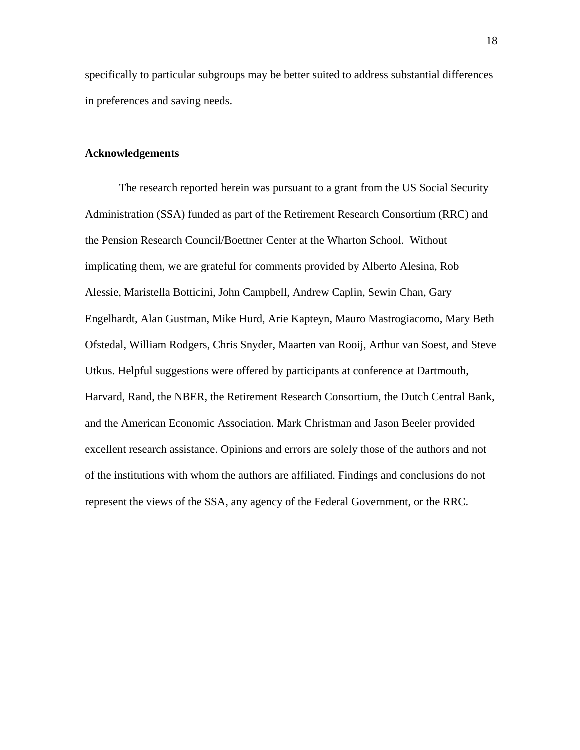specifically to particular subgroups may be better suited to address substantial differences in preferences and saving needs.

#### **Acknowledgements**

 The research reported herein was pursuant to a grant from the US Social Security Administration (SSA) funded as part of the Retirement Research Consortium (RRC) and the Pension Research Council/Boettner Center at the Wharton School. Without implicating them, we are grateful for comments provided by Alberto Alesina, Rob Alessie, Maristella Botticini, John Campbell, Andrew Caplin, Sewin Chan, Gary Engelhardt, Alan Gustman, Mike Hurd, Arie Kapteyn, Mauro Mastrogiacomo, Mary Beth Ofstedal, William Rodgers, Chris Snyder, Maarten van Rooij, Arthur van Soest, and Steve Utkus. Helpful suggestions were offered by participants at conference at Dartmouth, Harvard, Rand, the NBER, the Retirement Research Consortium, the Dutch Central Bank, and the American Economic Association. Mark Christman and Jason Beeler provided excellent research assistance. Opinions and errors are solely those of the authors and not of the institutions with whom the authors are affiliated. Findings and conclusions do not represent the views of the SSA, any agency of the Federal Government, or the RRC.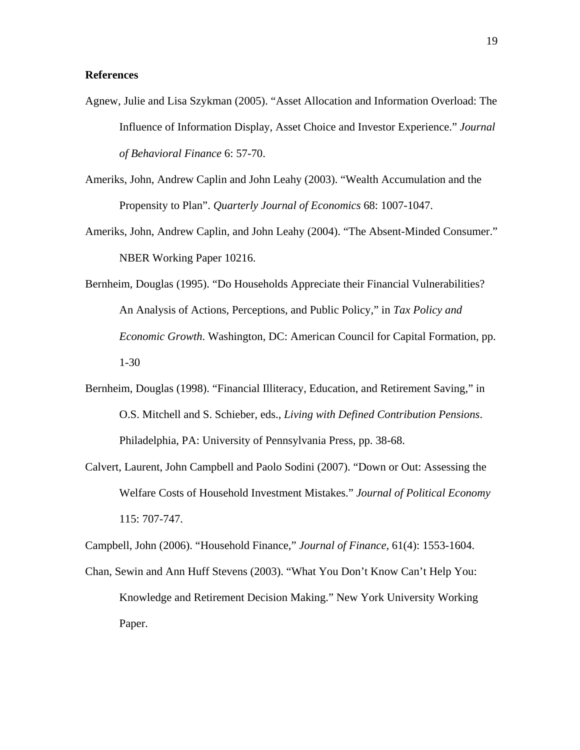#### **References**

- Agnew, Julie and Lisa Szykman (2005). "Asset Allocation and Information Overload: The Influence of Information Display, Asset Choice and Investor Experience." *Journal of Behavioral Finance* 6: 57-70.
- Ameriks, John, Andrew Caplin and John Leahy (2003). "Wealth Accumulation and the Propensity to Plan". *Quarterly Journal of Economics* 68: 1007-1047.
- Ameriks, John, Andrew Caplin, and John Leahy (2004). "The Absent-Minded Consumer." NBER Working Paper 10216.
- Bernheim, Douglas (1995). "Do Households Appreciate their Financial Vulnerabilities? An Analysis of Actions, Perceptions, and Public Policy," in *Tax Policy and Economic Growth*. Washington, DC: American Council for Capital Formation, pp. 1-30
- Bernheim, Douglas (1998). "Financial Illiteracy, Education, and Retirement Saving," in O.S. Mitchell and S. Schieber, eds., *Living with Defined Contribution Pensions*. Philadelphia, PA: University of Pennsylvania Press, pp. 38-68.
- Calvert, Laurent, John Campbell and Paolo Sodini (2007). "Down or Out: Assessing the Welfare Costs of Household Investment Mistakes." *Journal of Political Economy* 115: 707-747.

Campbell, John (2006). "Household Finance," *Journal of Finance*, 61(4): 1553-1604.

Chan, Sewin and Ann Huff Stevens (2003). "What You Don't Know Can't Help You: Knowledge and Retirement Decision Making." New York University Working Paper.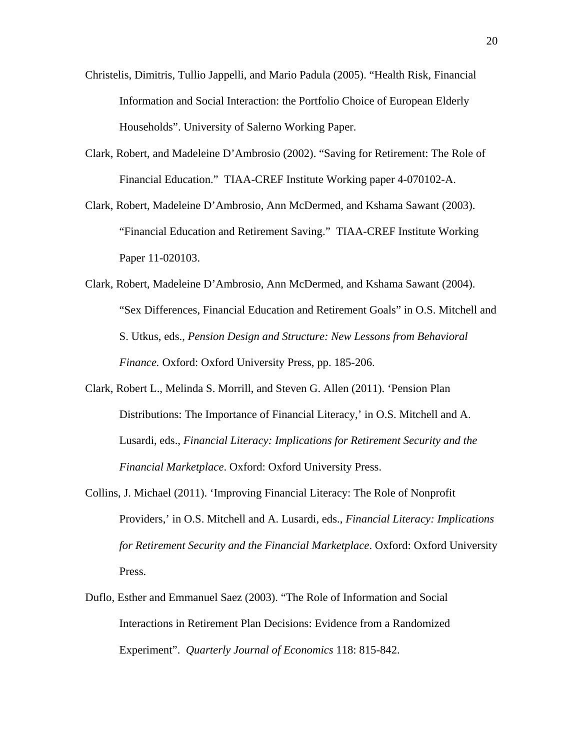- Christelis, Dimitris, Tullio Jappelli, and Mario Padula (2005). "Health Risk, Financial Information and Social Interaction: the Portfolio Choice of European Elderly Households". University of Salerno Working Paper.
- Clark, Robert, and Madeleine D'Ambrosio (2002). "Saving for Retirement: The Role of Financial Education." TIAA-CREF Institute Working paper 4-070102-A.
- Clark, Robert, Madeleine D'Ambrosio, Ann McDermed, and Kshama Sawant (2003). "Financial Education and Retirement Saving." TIAA-CREF Institute Working Paper 11-020103.
- Clark, Robert, Madeleine D'Ambrosio, Ann McDermed, and Kshama Sawant (2004). "Sex Differences, Financial Education and Retirement Goals" in O.S. Mitchell and S. Utkus, eds., *Pension Design and Structure: New Lessons from Behavioral Finance.* Oxford: Oxford University Press, pp. 185-206.
- Clark, Robert L., Melinda S. Morrill, and Steven G. Allen (2011). 'Pension Plan Distributions: The Importance of Financial Literacy,' in O.S. Mitchell and A. Lusardi, eds., *Financial Literacy: Implications for Retirement Security and the Financial Marketplace*. Oxford: Oxford University Press.
- Collins, J. Michael (2011). 'Improving Financial Literacy: The Role of Nonprofit Providers,' in O.S. Mitchell and A. Lusardi, eds., *Financial Literacy: Implications for Retirement Security and the Financial Marketplace*. Oxford: Oxford University Press.
- Duflo, Esther and Emmanuel Saez (2003). "The Role of Information and Social Interactions in Retirement Plan Decisions: Evidence from a Randomized Experiment". *Quarterly Journal of Economics* 118: 815-842.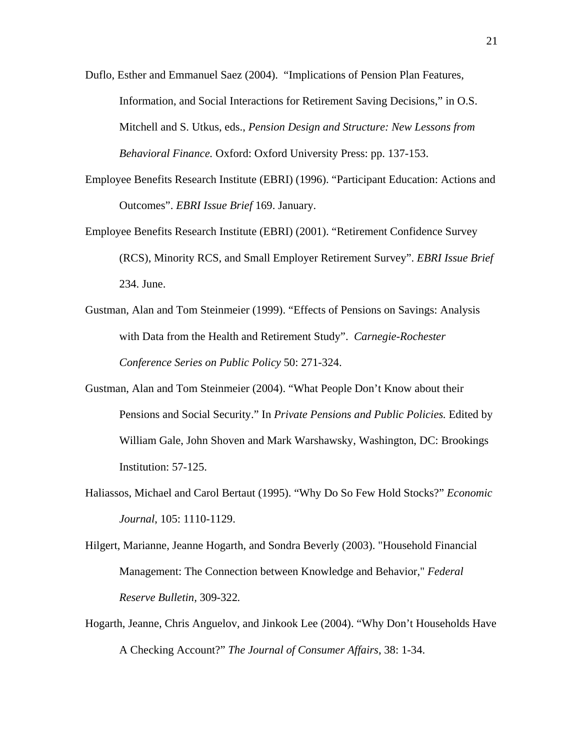- Duflo, Esther and Emmanuel Saez (2004). "Implications of Pension Plan Features, Information, and Social Interactions for Retirement Saving Decisions," in O.S. Mitchell and S. Utkus, eds., *Pension Design and Structure: New Lessons from Behavioral Finance.* Oxford: Oxford University Press: pp. 137-153.
- Employee Benefits Research Institute (EBRI) (1996). "Participant Education: Actions and Outcomes". *EBRI Issue Brief* 169. January.
- Employee Benefits Research Institute (EBRI) (2001). "Retirement Confidence Survey (RCS), Minority RCS, and Small Employer Retirement Survey". *EBRI Issue Brief* 234. June.
- Gustman, Alan and Tom Steinmeier (1999). "Effects of Pensions on Savings: Analysis with Data from the Health and Retirement Study". *Carnegie-Rochester Conference Series on Public Policy* 50: 271-324.
- Gustman, Alan and Tom Steinmeier (2004). "What People Don't Know about their Pensions and Social Security." In *Private Pensions and Public Policies.* Edited by William Gale, John Shoven and Mark Warshawsky, Washington, DC: Brookings Institution: 57-125.
- Haliassos, Michael and Carol Bertaut (1995). "Why Do So Few Hold Stocks?" *Economic Journal*, 105: 1110-1129.
- Hilgert, Marianne, Jeanne Hogarth, and Sondra Beverly (2003). "Household Financial Management: The Connection between Knowledge and Behavior," *Federal Reserve Bulletin,* 309-322*.*
- Hogarth, Jeanne, Chris Anguelov, and Jinkook Lee (2004). "Why Don't Households Have A Checking Account?" *The Journal of Consumer Affairs*, 38: 1-34.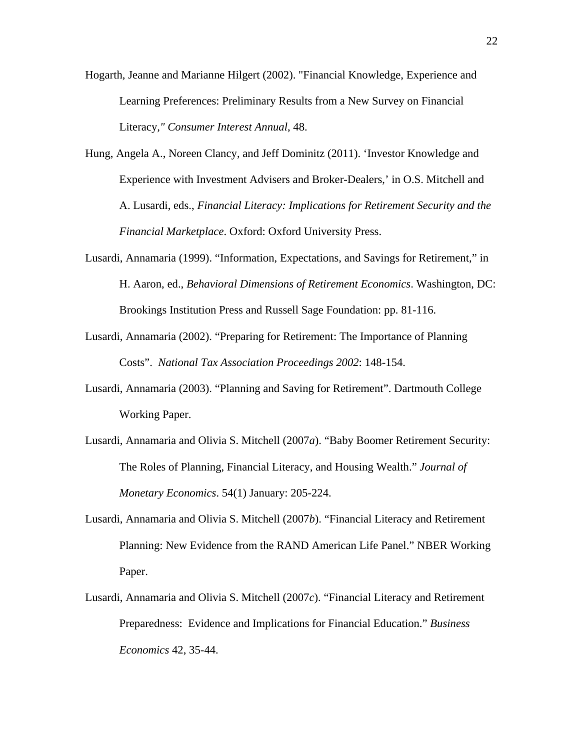- Hogarth, Jeanne and Marianne Hilgert (2002). "Financial Knowledge, Experience and Learning Preferences: Preliminary Results from a New Survey on Financial Literacy*," Consumer Interest Annual*, 48.
- Hung, Angela A., Noreen Clancy, and Jeff Dominitz (2011). 'Investor Knowledge and Experience with Investment Advisers and Broker-Dealers,' in O.S. Mitchell and A. Lusardi, eds., *Financial Literacy: Implications for Retirement Security and the Financial Marketplace*. Oxford: Oxford University Press.
- Lusardi, Annamaria (1999). "Information, Expectations, and Savings for Retirement," in H. Aaron, ed., *Behavioral Dimensions of Retirement Economics*. Washington, DC: Brookings Institution Press and Russell Sage Foundation: pp. 81-116.
- Lusardi, Annamaria (2002). "Preparing for Retirement: The Importance of Planning Costs". *National Tax Association Proceedings 2002*: 148-154.
- Lusardi, Annamaria (2003). "Planning and Saving for Retirement". Dartmouth College Working Paper.
- Lusardi, Annamaria and Olivia S. Mitchell (2007*a*). "Baby Boomer Retirement Security: The Roles of Planning, Financial Literacy, and Housing Wealth." *Journal of Monetary Economics*. 54(1) January: 205-224.
- Lusardi, Annamaria and Olivia S. Mitchell (2007*b*). "Financial Literacy and Retirement Planning: New Evidence from the RAND American Life Panel." NBER Working Paper.
- Lusardi, Annamaria and Olivia S. Mitchell (2007*c*). "Financial Literacy and Retirement Preparedness: Evidence and Implications for Financial Education." *Business Economics* 42, 35-44.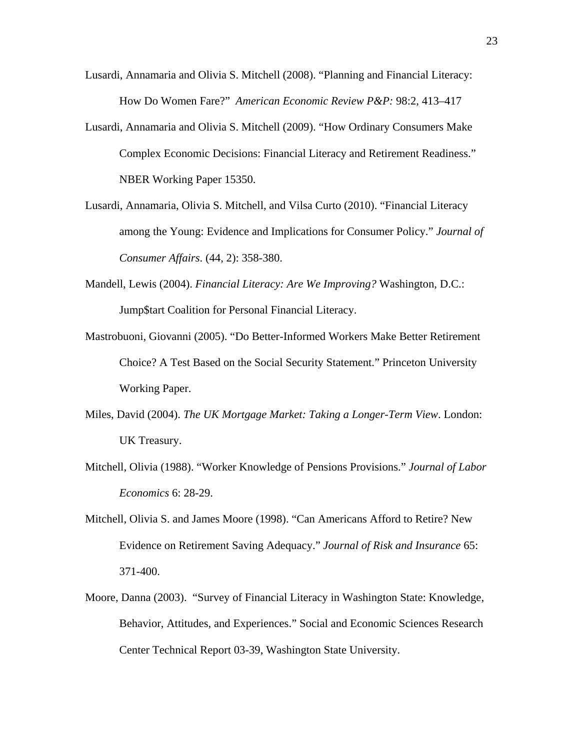- Lusardi, Annamaria and Olivia S. Mitchell (2008). "Planning and Financial Literacy: How Do Women Fare?" *American Economic Review P&P:* 98:2, 413–417
- Lusardi, Annamaria and Olivia S. Mitchell (2009). "How Ordinary Consumers Make Complex Economic Decisions: Financial Literacy and Retirement Readiness." NBER Working Paper 15350.
- Lusardi, Annamaria, Olivia S. Mitchell, and Vilsa Curto (2010). "Financial Literacy among the Young: Evidence and Implications for Consumer Policy." *Journal of Consumer Affairs*. (44, 2): 358-380.
- Mandell, Lewis (2004). *Financial Literacy: Are We Improving?* Washington, D.C.: Jump\$tart Coalition for Personal Financial Literacy.
- Mastrobuoni, Giovanni (2005). "Do Better-Informed Workers Make Better Retirement Choice? A Test Based on the Social Security Statement." Princeton University Working Paper.
- Miles, David (2004). *The UK Mortgage Market: Taking a Longer-Term View*. London: UK Treasury.
- Mitchell, Olivia (1988). "Worker Knowledge of Pensions Provisions." *Journal of Labor Economics* 6: 28-29.
- Mitchell, Olivia S. and James Moore (1998). "Can Americans Afford to Retire? New Evidence on Retirement Saving Adequacy." *Journal of Risk and Insurance* 65: 371-400.
- Moore, Danna (2003). "Survey of Financial Literacy in Washington State: Knowledge, Behavior, Attitudes, and Experiences." Social and Economic Sciences Research Center Technical Report 03-39, Washington State University.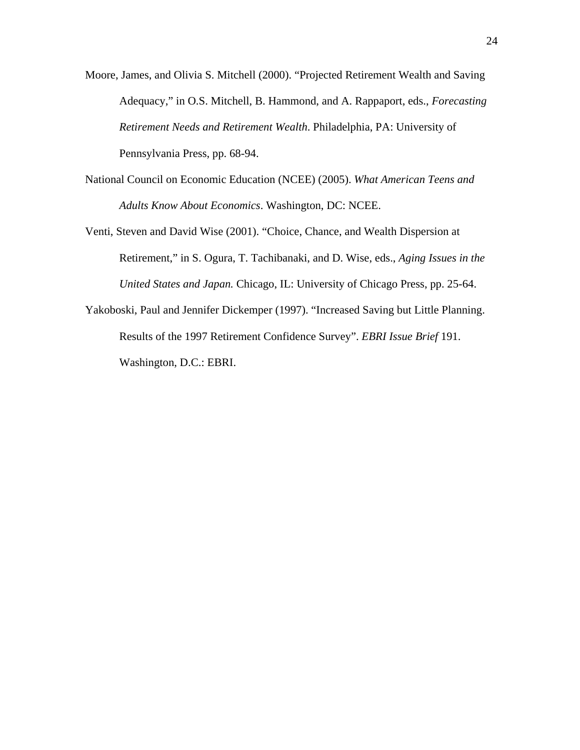- Moore, James, and Olivia S. Mitchell (2000). "Projected Retirement Wealth and Saving Adequacy," in O.S. Mitchell, B. Hammond, and A. Rappaport, eds., *Forecasting Retirement Needs and Retirement Wealth*. Philadelphia, PA: University of Pennsylvania Press, pp. 68-94.
- National Council on Economic Education (NCEE) (2005). *What American Teens and Adults Know About Economics*. Washington, DC: NCEE.
- Venti, Steven and David Wise (2001). "Choice, Chance, and Wealth Dispersion at Retirement," in S. Ogura, T. Tachibanaki, and D. Wise, eds., *Aging Issues in the United States and Japan.* Chicago, IL: University of Chicago Press, pp. 25-64.
- Yakoboski, Paul and Jennifer Dickemper (1997). "Increased Saving but Little Planning. Results of the 1997 Retirement Confidence Survey". *EBRI Issue Brief* 191. Washington, D.C.: EBRI.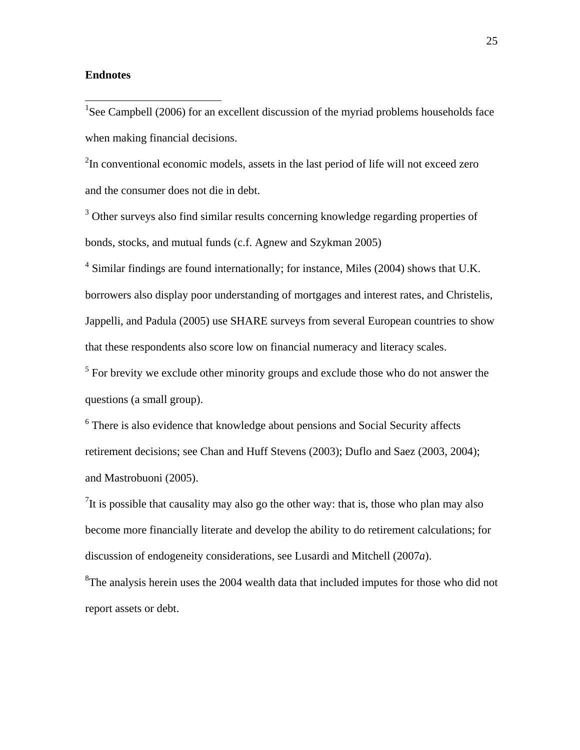#### **Endnotes**

 $\overline{\phantom{a}}$ 

<sup>1</sup>See Campbell (2006) for an excellent discussion of the myriad problems households face when making financial decisions.

 $2$ In conventional economic models, assets in the last period of life will not exceed zero and the consumer does not die in debt.

<sup>3</sup> Other surveys also find similar results concerning knowledge regarding properties of bonds, stocks, and mutual funds (c.f. Agnew and Szykman 2005)

 $4$  Similar findings are found internationally; for instance, Miles (2004) shows that U.K. borrowers also display poor understanding of mortgages and interest rates, and Christelis, Jappelli, and Padula (2005) use SHARE surveys from several European countries to show that these respondents also score low on financial numeracy and literacy scales.

 $<sup>5</sup>$  For brevity we exclude other minority groups and exclude those who do not answer the</sup> questions (a small group).

<sup>6</sup> There is also evidence that knowledge about pensions and Social Security affects retirement decisions; see Chan and Huff Stevens (2003); Duflo and Saez (2003, 2004); and Mastrobuoni (2005).

<sup>7</sup>It is possible that causality may also go the other way: that is, those who plan may also become more financially literate and develop the ability to do retirement calculations; for discussion of endogeneity considerations, see Lusardi and Mitchell (2007*a*).

<sup>8</sup>The analysis herein uses the 2004 wealth data that included imputes for those who did not report assets or debt.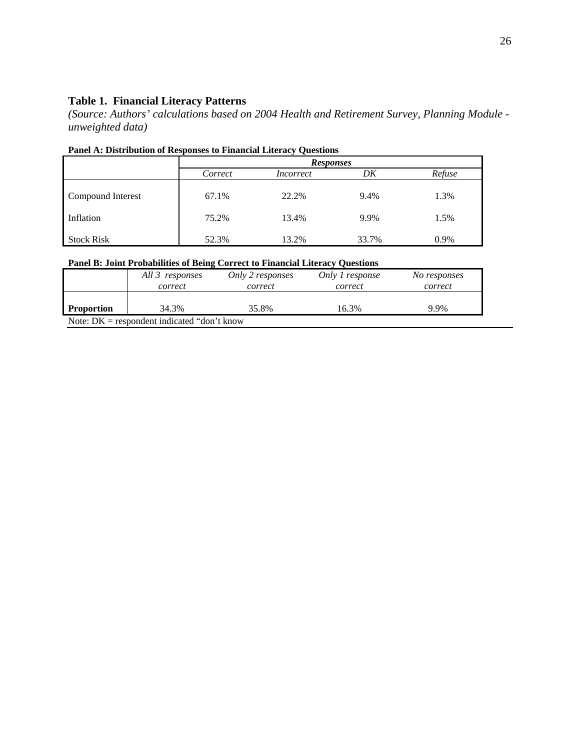# **Table 1. Financial Literacy Patterns**

*(Source: Authors' calculations based on 2004 Health and Retirement Survey, Planning Module unweighted data)* 

|                   | <b>Responses</b> |           |       |        |  |  |  |  |
|-------------------|------------------|-----------|-------|--------|--|--|--|--|
|                   | Correct          | Incorrect | DK    | Refuse |  |  |  |  |
| Compound Interest | 67.1%            | 22.2%     | 9.4%  | 1.3%   |  |  |  |  |
| Inflation         | 75.2%            | 13.4%     | 9.9%  | 1.5%   |  |  |  |  |
| <b>Stock Risk</b> | 52.3%            | 13.2%     | 33.7% | 0.9%   |  |  |  |  |

## **Panel A: Distribution of Responses to Financial Literacy Questions**

#### **Panel B: Joint Probabilities of Being Correct to Financial Literacy Questions**

|                                                                       | All 3 responses<br>correct | Only 2 responses<br>correct | Only 1 response<br>correct | No responses<br>correct |  |  |
|-----------------------------------------------------------------------|----------------------------|-----------------------------|----------------------------|-------------------------|--|--|
| <b>Proportion</b>                                                     | 34.3%                      | 35.8%                       | 16.3%                      | 9.9%                    |  |  |
| $N_{\text{obs}}$ , $\mathbf{D}V$ = negron dentindicated "den't linew. |                            |                             |                            |                         |  |  |

Note:  $DK =$  respondent indicated "don't know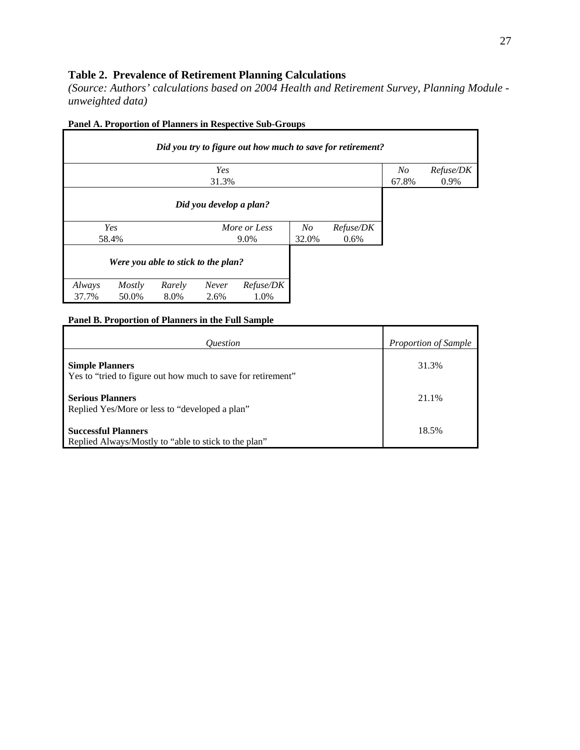# **Table 2. Prevalence of Retirement Planning Calculations**

*(Source: Authors' calculations based on 2004 Health and Retirement Survey, Planning Module unweighted data)*

|        |                                     |        |              |                          |         | Did you try to figure out how much to save for retirement? |         |           |
|--------|-------------------------------------|--------|--------------|--------------------------|---------|------------------------------------------------------------|---------|-----------|
|        |                                     |        | Yes          |                          |         |                                                            | $N_{O}$ | Refuse/DK |
|        |                                     |        | 31.3%        |                          |         |                                                            | 67.8%   | 0.9%      |
|        | Did you develop a plan?             |        |              |                          |         |                                                            |         |           |
|        | Yes                                 |        |              | More or Less             | $N_{O}$ | Refuse/DK                                                  |         |           |
|        | 58.4%                               |        |              | 32.0%<br>9.0%<br>$0.6\%$ |         |                                                            |         |           |
|        | Were you able to stick to the plan? |        |              |                          |         |                                                            |         |           |
| Always | Mostly                              | Rarely | <b>Never</b> | Refuse/DK                |         |                                                            |         |           |
| 37.7%  | 50.0%                               | 8.0%   | 2.6%         | 1.0%                     |         |                                                            |         |           |

#### **Panel A. Proportion of Planners in Respective Sub-Groups**

#### **Panel B. Proportion of Planners in the Full Sample**

| <i><u><b>Ouestion</b></u></i>                                                          | <b>Proportion of Sample</b> |
|----------------------------------------------------------------------------------------|-----------------------------|
| <b>Simple Planners</b><br>Yes to "tried to figure out how much to save for retirement" | 31.3%                       |
| <b>Serious Planners</b><br>Replied Yes/More or less to "developed a plan"              | 21.1%                       |
| <b>Successful Planners</b><br>Replied Always/Mostly to "able to stick to the plan"     | 18.5%                       |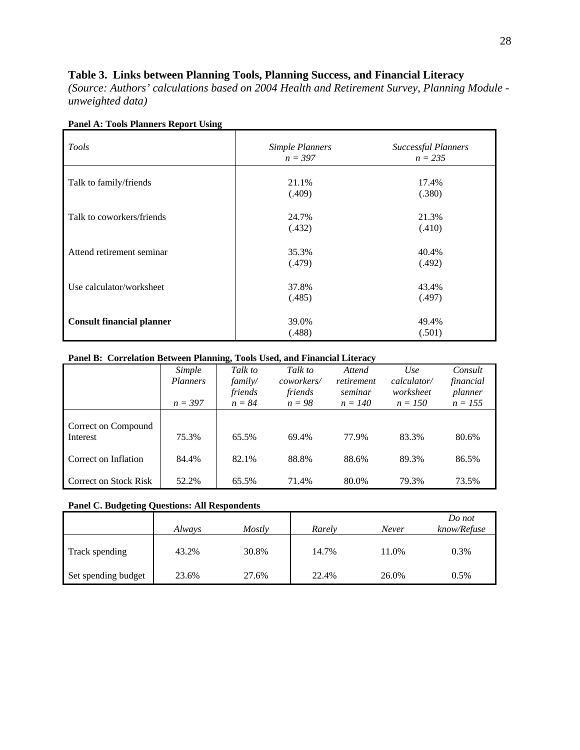# **Table 3. Links between Planning Tools, Planning Success, and Financial Literacy**

*(Source: Authors' calculations based on 2004 Health and Retirement Survey, Planning Module unweighted data)* 

| Tools                            | <b>Simple Planners</b><br>$n = 397$ | <b>Successful Planners</b><br>$n = 235$ |
|----------------------------------|-------------------------------------|-----------------------------------------|
| Talk to family/friends           | 21.1%<br>(.409)                     | 17.4%<br>(.380)                         |
| Talk to coworkers/friends        | 24.7%<br>(.432)                     | 21.3%<br>(.410)                         |
| Attend retirement seminar        | 35.3%<br>(.479)                     | 40.4%<br>(.492)                         |
| Use calculator/worksheet         | 37.8%<br>(.485)                     | 43.4%<br>(.497)                         |
| <b>Consult financial planner</b> | 39.0%<br>(.488)                     | 49.4%<br>(.501)                         |

#### **Panel A: Tools Planners Report Using**

#### **Panel B: Correlation Between Planning, Tools Used, and Financial Literacy**

|                                 | Simple<br><b>Planners</b><br>$n = 397$ | Talk to<br>family/<br>friends<br>$n = 84$ | Talk to<br>coworkers/<br>friends<br>$n=98$ | Attend<br>retirement<br>seminar<br>$n = 140$ | Use<br>calculator/<br>worksheet<br>$n = 150$ | Consult<br>financial<br>planner<br>$n = 155$ |
|---------------------------------|----------------------------------------|-------------------------------------------|--------------------------------------------|----------------------------------------------|----------------------------------------------|----------------------------------------------|
| Correct on Compound<br>Interest | 75.3%                                  | 65.5%                                     | 69.4%                                      | 77.9%                                        | 83.3%                                        | 80.6%                                        |
| Correct on Inflation            | 84.4%                                  | 82.1%                                     | 88.8%                                      | 88.6%                                        | 89.3%                                        | 86.5%                                        |
| Correct on Stock Risk           | 52.2%                                  | 65.5%                                     | 71.4%                                      | 80.0%                                        | 79.3%                                        | 73.5%                                        |

#### **Panel C. Budgeting Questions: All Respondents**

|                     | Always | Mostly | Rarely | Never | Do not<br>know/Refuse |
|---------------------|--------|--------|--------|-------|-----------------------|
| Track spending      | 43.2%  | 30.8%  | 14.7%  | 11.0% | 0.3%                  |
| Set spending budget | 23.6%  | 27.6%  | 22.4%  | 26.0% | 0.5%                  |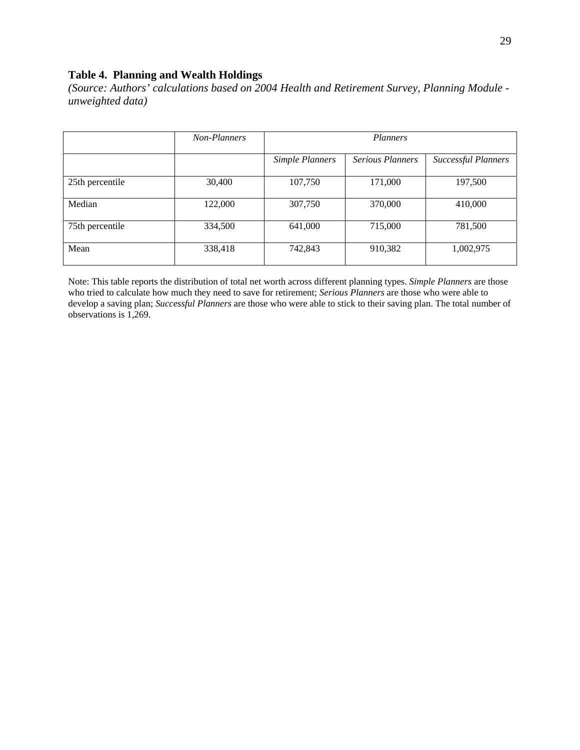# **Table 4. Planning and Wealth Holdings**

*(Source: Authors' calculations based on 2004 Health and Retirement Survey, Planning Module unweighted data)* 

|                 | Non-Planners | <i>Planners</i>        |                         |                            |  |  |
|-----------------|--------------|------------------------|-------------------------|----------------------------|--|--|
|                 |              | <b>Simple Planners</b> | <b>Serious Planners</b> | <b>Successful Planners</b> |  |  |
| 25th percentile | 30,400       | 107,750                | 171,000                 | 197,500                    |  |  |
| Median          | 122,000      | 307,750                | 370,000                 | 410,000                    |  |  |
| 75th percentile | 334,500      | 641,000                | 715,000                 | 781,500                    |  |  |
| Mean            | 338,418      | 742,843                | 910,382                 | 1,002,975                  |  |  |

Note: This table reports the distribution of total net worth across different planning types. *Simple Planners* are those who tried to calculate how much they need to save for retirement; *Serious Planners* are those who were able to develop a saving plan; *Successful Planners* are those who were able to stick to their saving plan. The total number of observations is 1,269.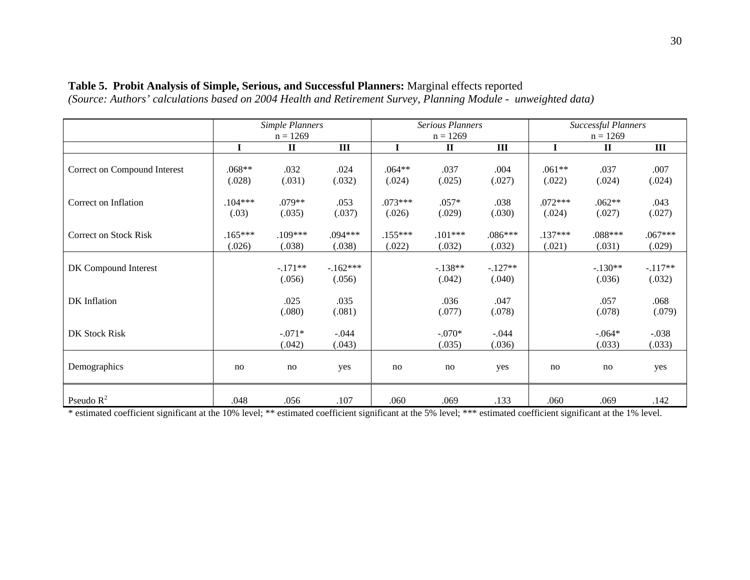|                              | <b>Simple Planners</b><br>$n = 1269$ |                     |                     | <b>Serious Planners</b><br>$n = 1269$ |                     |                     | <b>Successful Planners</b><br>$n = 1269$ |                     |                     |
|------------------------------|--------------------------------------|---------------------|---------------------|---------------------------------------|---------------------|---------------------|------------------------------------------|---------------------|---------------------|
|                              | I                                    | $\mathbf{I}$        | III                 | I                                     | $\mathbf{I}$        | III                 | I                                        | $\mathbf{I}$        | III                 |
| Correct on Compound Interest | $.068**$<br>(.028)                   | .032<br>(.031)      | .024<br>(.032)      | $.064**$<br>(.024)                    | .037<br>(.025)      | .004<br>(.027)      | $.061**$<br>(.022)                       | .037<br>(.024)      | .007<br>(.024)      |
| Correct on Inflation         | $.104***$<br>(.03)                   | $.079**$<br>(.035)  | .053<br>(.037)      | $.073***$<br>(.026)                   | $.057*$<br>(.029)   | .038<br>(.030)      | $.072***$<br>(.024)                      | $.062**$<br>(.027)  | .043<br>(.027)      |
| <b>Correct on Stock Risk</b> | $.165***$<br>(.026)                  | $.109***$<br>(.038) | $.094***$<br>(.038) | $.155***$<br>(.022)                   | $.101***$<br>(.032) | $.086***$<br>(.032) | $.137***$<br>(.021)                      | .088***<br>(.031)   | $.067***$<br>(.029) |
| DK Compound Interest         |                                      | $-.171**$<br>(.056) | $-162***$<br>(.056) |                                       | $-.138**$<br>(.042) | $-.127**$<br>(.040) |                                          | $-.130**$<br>(.036) | $-.117**$<br>(.032) |
| DK Inflation                 |                                      | .025<br>(.080)      | .035<br>(.081)      |                                       | .036<br>(.077)      | .047<br>(.078)      |                                          | .057<br>(.078)      | .068<br>(.079)      |
| DK Stock Risk                |                                      | $-.071*$<br>(.042)  | $-.044$<br>(.043)   |                                       | $-.070*$<br>(.035)  | $-.044$<br>(.036)   |                                          | $-.064*$<br>(.033)  | $-.038$<br>(.033)   |
| Demographics                 | no                                   | no                  | yes                 | no                                    | no                  | yes                 | no                                       | no                  | yes                 |
| Pseudo $R^2$                 | .048                                 | .056                | .107                | .060                                  | .069                | .133                | .060                                     | .069                | .142                |

# **Table 5. Probit Analysis of Simple, Serious, and Successful Planners:** Marginal effects reported

*(Source: Authors' calculations based on 2004 Health and Retirement Survey, Planning Module - unweighted data)* 

\* estimated coefficient significant at the 10% level; \*\* estimated coefficient significant at the 5% level; \*\*\* estimated coefficient significant at the 1% level.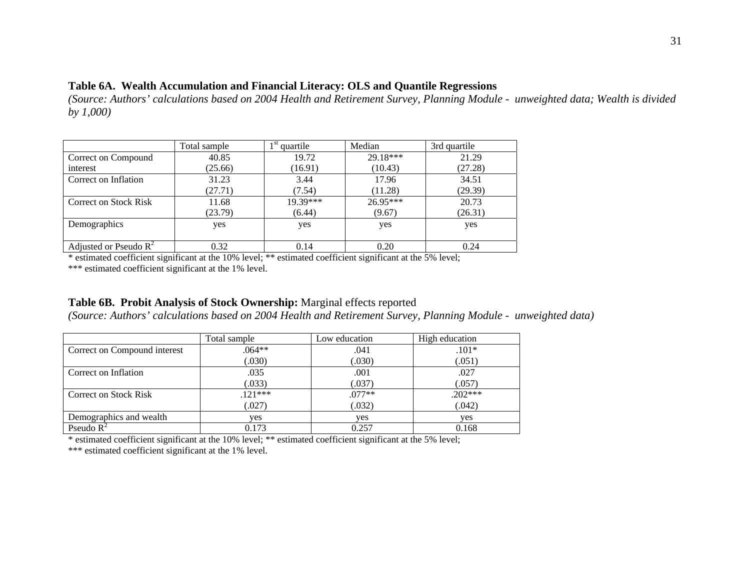## **Table 6A. Wealth Accumulation and Financial Literacy: OLS and Quantile Regressions**

*(Source: Authors' calculations based on 2004 Health and Retirement Survey, Planning Module - unweighted data; Wealth is divided by 1,000)* 

|                                   | Total sample | $1st$ quartile | Median     | 3rd quartile |
|-----------------------------------|--------------|----------------|------------|--------------|
| Correct on Compound               | 40.85        | 19.72          | 29.18***   | 21.29        |
| interest                          | (25.66)      | (16.91)        | (10.43)    | (27.28)      |
| Correct on Inflation              | 31.23        | 3.44           | 17.96      | 34.51        |
|                                   | (27.71)      | (7.54)         | (11.28)    | (29.39)      |
| Correct on Stock Risk             | 11.68        | 19.39***       | $26.95***$ | 20.73        |
|                                   | (23.79)      | (6.44)         | (9.67)     | (26.31)      |
| Demographics                      | yes          | yes            | yes        | yes          |
| Adjusted or Pseudo $\mathbb{R}^2$ | 0.32         | 0.14           | 0.20       | 0.24         |

\* estimated coefficient significant at the 10% level; \*\* estimated coefficient significant at the 5% level;

\*\*\* estimated coefficient significant at the 1% level.

## **Table 6B. Probit Analysis of Stock Ownership:** Marginal effects reported

*(Source: Authors' calculations based on 2004 Health and Retirement Survey, Planning Module - unweighted data)*

|                              | Total sample | Low education | High education |
|------------------------------|--------------|---------------|----------------|
| Correct on Compound interest | $.064**$     | .041          | $.101*$        |
|                              | (.030)       | (.030)        | (.051)         |
| Correct on Inflation         | .035         | .001          | .027           |
|                              | (.033)       | (.037)        | (.057)         |
| Correct on Stock Risk        | $.121***$    | $.077**$      | $.202***$      |
|                              | (.027)       | (.032)        | (.042)         |
| Demographics and wealth      | ves          | yes           | yes            |
| Pseudo $R^2$                 | 0.173        | 0.257         | 0.168          |

\* estimated coefficient significant at the 10% level; \*\* estimated coefficient significant at the 5% level;

\*\*\* estimated coefficient significant at the 1% level.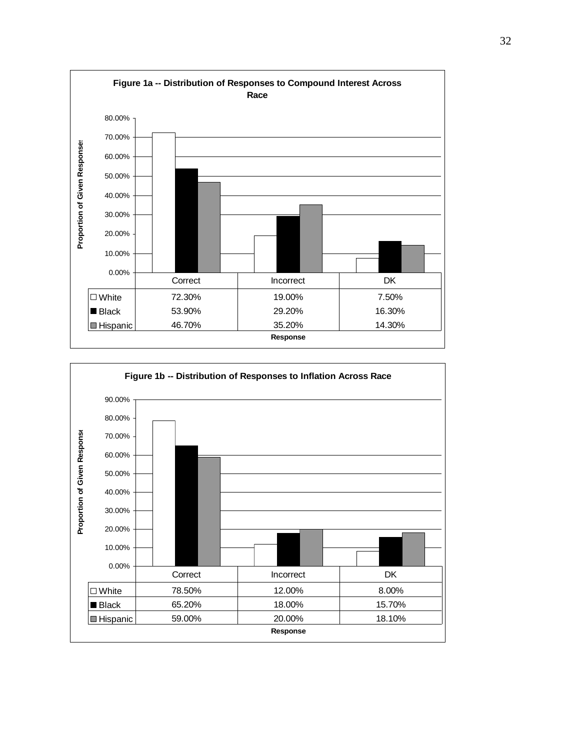

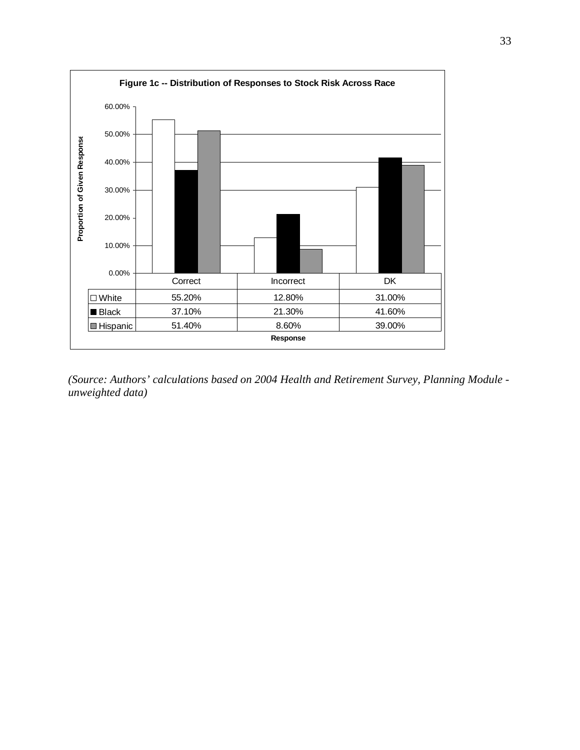

*(Source: Authors' calculations based on 2004 Health and Retirement Survey, Planning Module unweighted data)*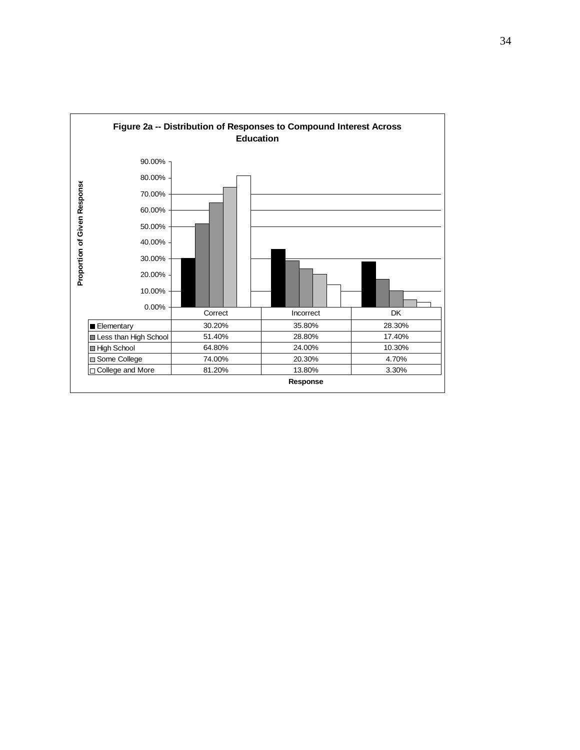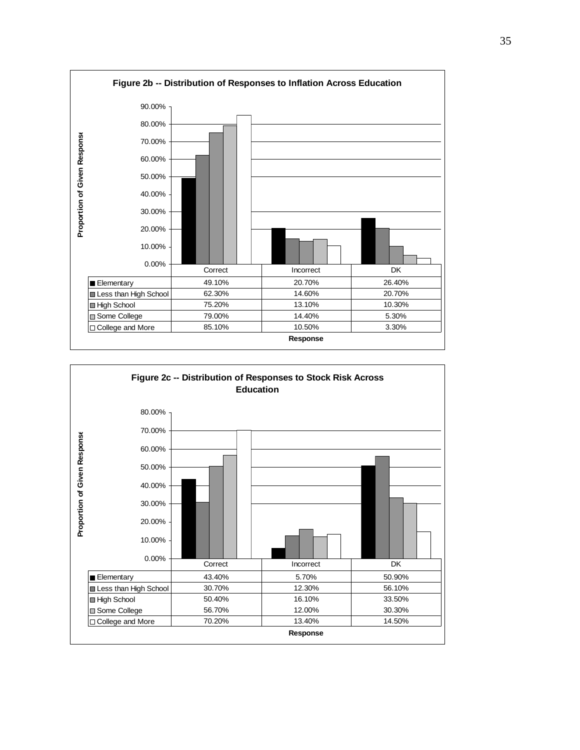

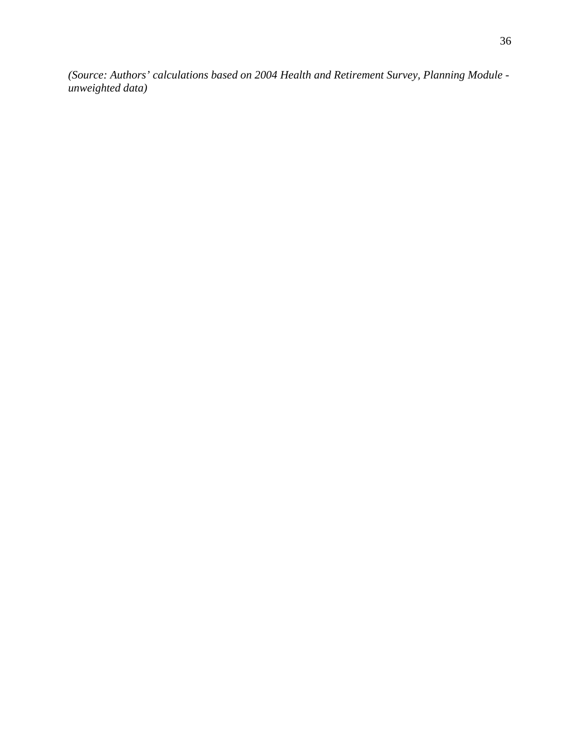*(Source: Authors' calculations based on 2004 Health and Retirement Survey, Planning Module unweighted data)*